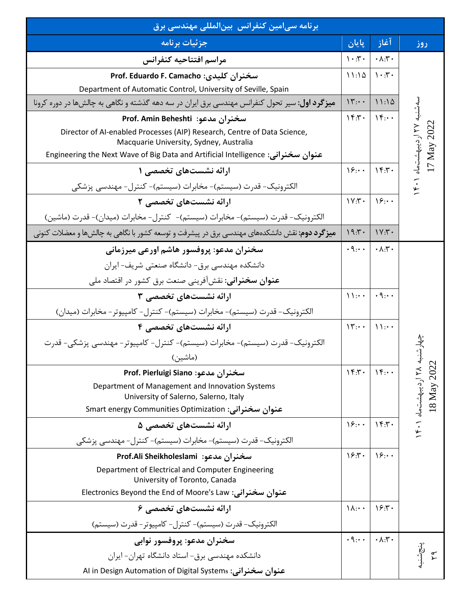| برنامه سی مین کنفرانس بین لمللی مهندسی برق                                                                          |                                     |                                     |                                         |
|---------------------------------------------------------------------------------------------------------------------|-------------------------------------|-------------------------------------|-----------------------------------------|
| جزئيات برنامه                                                                                                       | ِ پایان                             | آغاز                                | روز                                     |
| مراسم افتتاحيه كنفرانس                                                                                              | $\mathcal{N} \cdot \mathcal{N}$     | $\cdot \wedge$ . $\mathbf{r}$ .     | به ۲۷ اردیبهشتماه ۲۰۱<br>17 May 2022    |
| سخنران كليدي: Prof. Eduardo F. Camacho                                                                              | 11:10                               | $\mathcal{N} \cdot \mathcal{N}$     |                                         |
| Department of Automatic Control, University of Seville, Spain                                                       |                                     |                                     |                                         |
| <b>میز گرد اول</b> : سیر تحول کنفرانس مهندسی برق ایران در سه دهه گذشته و نگاهی به چالشها در دوره کرونا              | $\Upsilon$                          | 11:10                               |                                         |
| سخنران مدعو: Prof. Amin Beheshti                                                                                    | $\gamma$                            | $\mathcal{W}$ : $\cdot$             |                                         |
| Director of AI-enabled Processes (AIP) Research, Centre of Data Science,<br>Macquarie University, Sydney, Australia |                                     |                                     |                                         |
| عنوان سخنراني: Engineering the Next Wave of Big Data and Artificial Intelligence                                    |                                     |                                     |                                         |
| ارائه نشستهای تخصصی ۱                                                                                               | $\sqrt{2}$ :                        | Yf:Y                                |                                         |
| الکترونیک- قدرت (سیستم)- مخابرات (سیستم)- کنترل- مهندسی پزشکی                                                       |                                     |                                     |                                         |
| ارائه نشستهای تخصصی ۲                                                                                               | $Y:Y \cdot Y$                       | 18.4                                |                                         |
| الكترونيك- قدرت (سيستم)- مخابرات (سيستم)- كنترل- مخابرات (ميدان)- قدرت (ماشين)                                      |                                     |                                     |                                         |
| <b>میزگرد دوم</b> : نقش دانشکدههای مهندسی برق در پیشرفت و توسعه کشور با نگاهی به چالشها و معضلات کنونی              | 19.5                                | VY:Y                                |                                         |
| سخنران مدعو: پروفسور هاشم اورعی میرزمانی                                                                            | $\cdot \mathcal{A}_{1} \cdot \cdot$ | $\cdot \wedge$ : $\mathsf{r} \cdot$ |                                         |
| دانشکده مهندسی برق- دانشگاه صنعتی شریف- ایران                                                                       |                                     |                                     |                                         |
| <b>عنوان سخنرانی</b> : نقشآفرینی صنعت برق کشور در اقتصاد ملی                                                        |                                     |                                     |                                         |
| ارائه نشستهای تخصصی ۳                                                                                               | $\mathcal{W}$ : $\cdot$             | $\cdot$ 9: $\cdot$                  |                                         |
| الكترونيك- قدرت (سيستم)- مخابرات (سيستم)- كنترل- كامپيوتر- مخابرات (ميدان)                                          |                                     |                                     |                                         |
| ارائه نشستهای تخصصی ۴                                                                                               | $\Upsilon$ : $\cdot$                | $\setminus \cdot \cdot$             |                                         |
| الكترونيك- قدرت (سيستم)- مخابرات (سيستم)- كنترل- كامپيوتر- مهندسي پزشكي- قدرت                                       |                                     |                                     |                                         |
| (ماشين)                                                                                                             |                                     |                                     | به ۱۴۰۱ اردیبهشتماه ۱۴۰۱<br>18 May 2022 |
| سخنران مدعو: Prof. Pierluigi Siano                                                                                  | $\Upsilon$                          | $\mathcal{W}$ : $\cdot$             |                                         |
| Department of Management and Innovation Systems<br>University of Salerno, Salerno, Italy                            |                                     |                                     |                                         |
| عنوان سخنرانی: Smart energy Communities Optimization                                                                |                                     |                                     |                                         |
| ارائه نشستهای تخصصی ۵                                                                                               | $\overline{\ }$                     | $\gamma$ .                          |                                         |
| الکترونیک- قدرت (سیستم)- مخابرات (سیستم)- کنترل- مهندسی پزشکی                                                       |                                     |                                     |                                         |
| سخنران مدعو:  Prof.Ali Sheikholeslami                                                                               | 15.7.                               | $\gamma_{\mathcal{F}}$              |                                         |
| Department of Electrical and Computer Engineering                                                                   |                                     |                                     |                                         |
| University of Toronto, Canada                                                                                       |                                     |                                     |                                         |
| عنوان سخنرانی: Electronics Beyond the End of Moore's Law                                                            |                                     |                                     |                                         |
| ارائه نشستهای تخصصی ۶                                                                                               | $\lambda$ : $\cdot$                 | 15.7.                               |                                         |
| الكترونيك- قدرت (سيستم)- كنترل- كامپيوتر- قدرت (سيستم)                                                              |                                     |                                     |                                         |
| سخنران مدعو: پروفسور نوابي                                                                                          | $\cdot \mathcal{A}_{1} \cdot \cdot$ | $\cdot \wedge$ : $\mathsf{r} \cdot$ |                                         |
| دانشکده مهندسی برق- استاد دانشگاه تهران– ایران                                                                      |                                     |                                     |                                         |
| عنوان سخنرانی: Al in Design Automation of Digital Systems                                                           |                                     |                                     |                                         |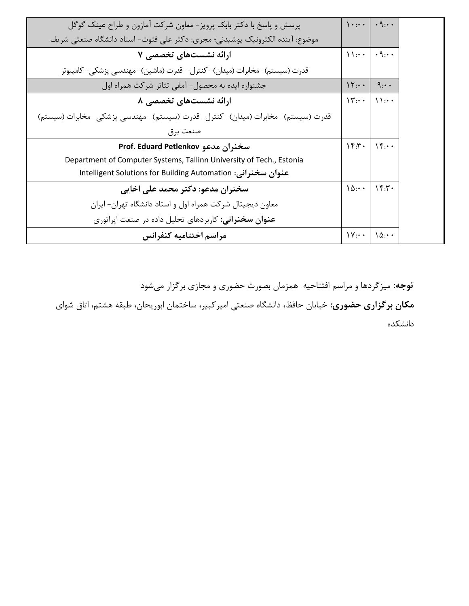| پرسش و پاسخ با دکتر بابک پرویز- معاون شرکت آمازون و طراح عینک گوگل                | $\mathcal{L}$           | $\cdot$ 9: $\cdot$             |
|-----------------------------------------------------------------------------------|-------------------------|--------------------------------|
| موضوع: آينده الكترونيك پوشيدني؛ مجرى: دكتر على فتوت- استاد دانشگاه صنعتي شريف     |                         |                                |
| ارائه نشستهای تخصصی ۷                                                             | $\setminus$             | $\cdot$ 9. $\cdot$             |
| قدرت (سیستم)- مخابرات (میدان)- کنترل-  قدرت (ماشین)- مهندسی پزشکی- کامپیوتر       |                         |                                |
| جشنواره ایده به محصول- آمفی تئاتر شرکت همراه اول                                  | $\Upsilon$ : $\cdot$    | 9:4                            |
| ارائه نشستهای تخصصی ۸                                                             | $\mathcal{N}$ : $\cdot$ | $\bigcup$                      |
| قدرت (سیستم)- مخابرات (میدان)- کنترل- قدرت (سیستم)- مهندسی پزشکی- مخابرات (سیستم) |                         |                                |
| صنعت برق                                                                          |                         |                                |
| سخنران مدعو Prof. Eduard Petlenkov                                                | $\gamma$ . $\gamma$ .   | $\bigcap_{\tau\in\mathcal{T}}$ |
| Department of Computer Systems, Tallinn University of Tech., Estonia              |                         |                                |
| عنوان سخنرانی: Intelligent Solutions for Building Automation                      |                         |                                |
| سخنران مدعو: دکتر محمد علی اخایی                                                  | $\Lambda$               | $\gamma$                       |
| معاون دیجیتال شرکت همراه اول و استاد دانشگاه تهران- ایران                         |                         |                                |
| <b>عنوان سخنرانی</b> : کاربردهای تحلیل داده در صنعت اپراتوری                      |                         |                                |
| مراسم اختتاميه كنفرانس                                                            | $\mathcal{V}$ : $\cdot$ | $\Lambda$                      |

**توجه:** میزگردها و مراسم افتتاحیه همزمان بصورت حضوری و مجازی برگزار میشود **مکان برگزاری حضوری:** خیابان حافظ، دانشگاه صنعتی امیرکبیر، ساختمان ابوریحان، طبقه هشتم، اتاق شوای دانشکده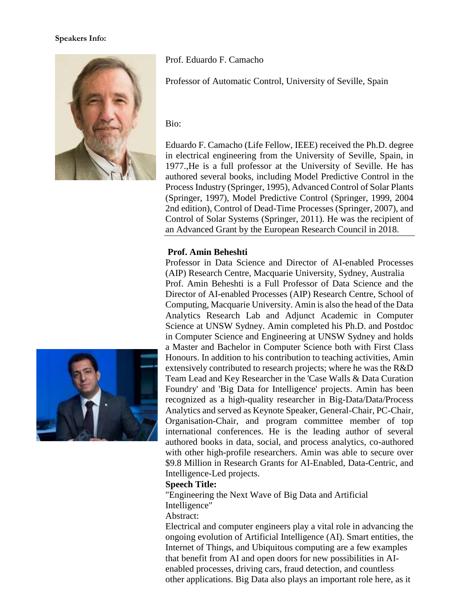#### **Speakers Info:**



Prof. Eduardo F. Camacho

Professor of Automatic Control, University of Seville, Spain

Bio:

Eduardo F. Camacho (Life Fellow, IEEE) received the Ph.D. degree in electrical engineering from the University of Seville, Spain, in 1977.,He is a full professor at the University of Seville. He has authored several books, including Model Predictive Control in the Process Industry (Springer, 1995), Advanced Control of Solar Plants (Springer, 1997), Model Predictive Control (Springer, 1999, 2004 2nd edition), Control of Dead-Time Processes (Springer, 2007), and Control of Solar Systems (Springer, 2011). He was the recipient of an Advanced Grant by the European Research Council in 2018.

## **Prof. Amin Beheshti**

Professor in Data Science and Director of AI-enabled Processes (AIP) Research Centre, Macquarie University, Sydney, Australia Prof. Amin Beheshti is a Full Professor of Data Science and the Director of AI-enabled Processes (AIP) Research Centre, School of Computing, Macquarie University. Amin is also the head of the Data Analytics Research Lab and Adjunct Academic in Computer Science at UNSW Sydney. Amin completed his Ph.D. and Postdoc in Computer Science and Engineering at UNSW Sydney and holds a Master and Bachelor in Computer Science both with First Class Honours. In addition to his contribution to teaching activities, Amin extensively contributed to research projects; where he was the R&D Team Lead and Key Researcher in the 'Case Walls & Data Curation Foundry' and 'Big Data for Intelligence' projects. Amin has been recognized as a high-quality researcher in Big-Data/Data/Process Analytics and served as Keynote Speaker, General-Chair, PC-Chair, Organisation-Chair, and program committee member of top international conferences. He is the leading author of several authored books in data, social, and process analytics, co-authored with other high-profile researchers. Amin was able to secure over \$9.8 Million in Research Grants for AI-Enabled, Data-Centric, and Intelligence-Led projects.

## **Speech Title:**

"Engineering the Next Wave of Big Data and Artificial Intelligence"

Abstract:

Electrical and computer engineers play a vital role in advancing the ongoing evolution of Artificial Intelligence (AI). Smart entities, the Internet of Things, and Ubiquitous computing are a few examples that benefit from AI and open doors for new possibilities in AIenabled processes, driving cars, fraud detection, and countless other applications. Big Data also plays an important role here, as it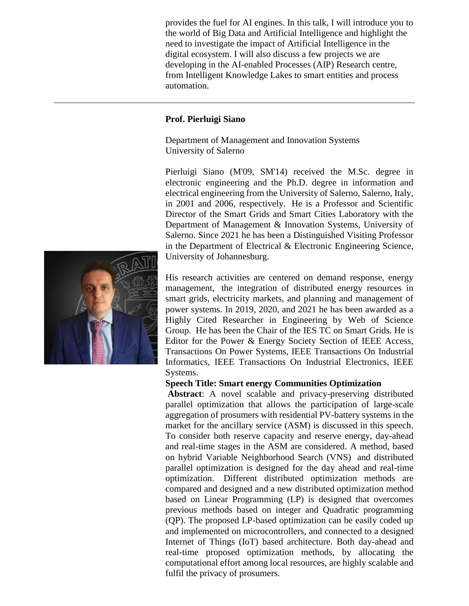provides the fuel for AI engines. In this talk, I will introduce you to the world of Big Data and Artificial Intelligence and highlight the need to investigate the impact of Artificial Intelligence in the digital ecosystem. I will also discuss a few projects we are developing in the AI-enabled Processes (AIP) Research centre, from Intelligent Knowledge Lakes to smart entities and process automation.

#### **Prof. Pierluigi Siano**

Department of Management and Innovation Systems University of Salerno

Pierluigi Siano (M'09, SM'14) received the M.Sc. degree in electronic engineering and the Ph.D. degree in information and electrical engineering from the University of Salerno, Salerno, Italy, in 2001 and 2006, respectively. He is a Professor and Scientific Director of the Smart Grids and Smart Cities Laboratory with the Department of Management & Innovation Systems, University of Salerno. Since 2021 he has been a Distinguished Visiting Professor in the Department of Electrical & Electronic Engineering Science, University of Johannesburg.

His research activities are centered on demand response, energy management, the integration of distributed energy resources in smart grids, electricity markets, and planning and management of power systems. In 2019, 2020, and 2021 he has been awarded as a Highly Cited Researcher in Engineering by Web of Science Group. He has been the Chair of the IES TC on Smart Grids. He is Editor for the Power & Energy Society Section of IEEE Access, Transactions On Power Systems, IEEE Transactions On Industrial Informatics, IEEE Transactions On Industrial Electronics, IEEE Systems.

#### **Speech Title: Smart energy Communities Optimization**

**Abstract**: A novel scalable and privacy-preserving distributed parallel optimization that allows the participation of large-scale aggregation of prosumers with residential PV-battery systems in the market for the ancillary service (ASM) is discussed in this speech. To consider both reserve capacity and reserve energy, day-ahead and real-time stages in the ASM are considered. A method, based on hybrid Variable Neighborhood Search (VNS) and distributed parallel optimization is designed for the day ahead and real-time optimization. Different distributed optimization methods are compared and designed and a new distributed optimization method based on Linear Programming (LP) is designed that overcomes previous methods based on integer and Quadratic programming (QP). The proposed LP-based optimization can be easily coded up and implemented on microcontrollers, and connected to a designed Internet of Things (IoT) based architecture. Both day-ahead and real-time proposed optimization methods, by allocating the computational effort among local resources, are highly scalable and fulfil the privacy of prosumers.

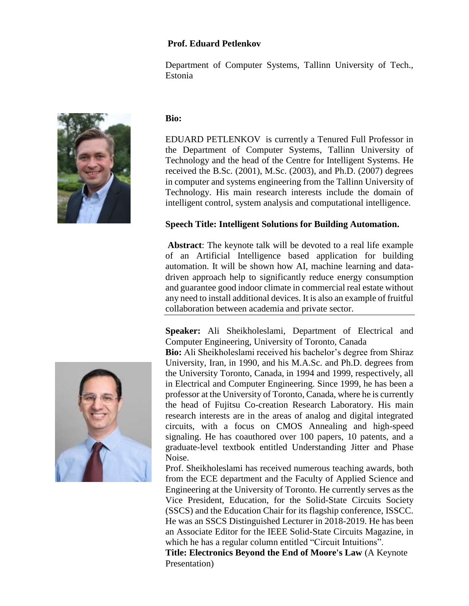## **Prof. Eduard Petlenkov**

Department of Computer Systems, Tallinn University of Tech., Estonia

#### **Bio:**

EDUARD PETLENKOV is currently a Tenured Full Professor in the Department of Computer Systems, Tallinn University of Technology and the head of the Centre for Intelligent Systems. He received the B.Sc. (2001), M.Sc. (2003), and Ph.D. (2007) degrees in computer and systems engineering from the Tallinn University of Technology. His main research interests include the domain of intelligent control, system analysis and computational intelligence.

## **Speech Title: Intelligent Solutions for Building Automation.**

**Abstract**: The keynote talk will be devoted to a real life example of an Artificial Intelligence based application for building automation. It will be shown how AI, machine learning and datadriven approach help to significantly reduce energy consumption and guarantee good indoor climate in commercial real estate without any need to install additional devices. It is also an example of fruitful collaboration between academia and private sector.

**Speaker:** Ali Sheikholeslami, Department of Electrical and Computer Engineering, University of Toronto, Canada

**Bio:** Ali Sheikholeslami received his bachelor's degree from Shiraz University, Iran, in 1990, and his M.A.Sc. and Ph.D. degrees from the University Toronto, Canada, in 1994 and 1999, respectively, all in Electrical and Computer Engineering. Since 1999, he has been a professor at the University of Toronto, Canada, where he is currently the head of Fujitsu Co-creation Research Laboratory. His main research interests are in the areas of analog and digital integrated circuits, with a focus on CMOS Annealing and high-speed signaling. He has coauthored over 100 papers, 10 patents, and a graduate-level textbook entitled Understanding Jitter and Phase Noise.

Prof. Sheikholeslami has received numerous teaching awards, both from the ECE department and the Faculty of Applied Science and Engineering at the University of Toronto. He currently serves as the Vice President, Education, for the Solid-State Circuits Society (SSCS) and the Education Chair for its flagship conference, ISSCC. He was an SSCS Distinguished Lecturer in 2018-2019. He has been an Associate Editor for the IEEE Solid-State Circuits Magazine, in which he has a regular column entitled "Circuit Intuitions".

**Title: Electronics Beyond the End of Moore's Law** (A Keynote Presentation)



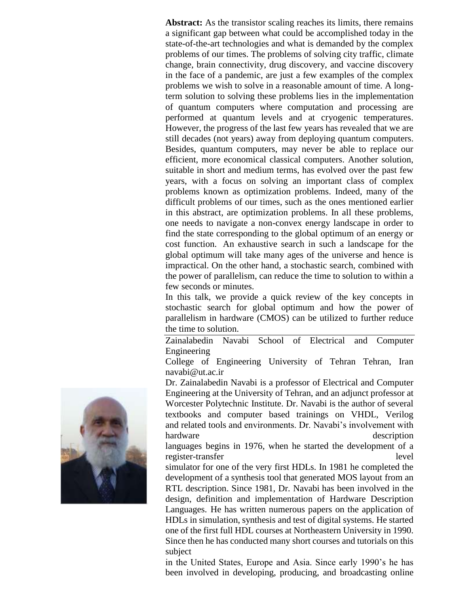**Abstract:** As the transistor scaling reaches its limits, there remains a significant gap between what could be accomplished today in the state-of-the-art technologies and what is demanded by the complex problems of our times. The problems of solving city traffic, climate change, brain connectivity, drug discovery, and vaccine discovery in the face of a pandemic, are just a few examples of the complex problems we wish to solve in a reasonable amount of time. A longterm solution to solving these problems lies in the implementation of quantum computers where computation and processing are performed at quantum levels and at cryogenic temperatures. However, the progress of the last few years has revealed that we are still decades (not years) away from deploying quantum computers. Besides, quantum computers, may never be able to replace our efficient, more economical classical computers. Another solution, suitable in short and medium terms, has evolved over the past few years, with a focus on solving an important class of complex problems known as optimization problems. Indeed, many of the difficult problems of our times, such as the ones mentioned earlier in this abstract, are optimization problems. In all these problems, one needs to navigate a non-convex energy landscape in order to find the state corresponding to the global optimum of an energy or cost function. An exhaustive search in such a landscape for the global optimum will take many ages of the universe and hence is impractical. On the other hand, a stochastic search, combined with the power of parallelism, can reduce the time to solution to within a few seconds or minutes.

In this talk, we provide a quick review of the key concepts in stochastic search for global optimum and how the power of parallelism in hardware (CMOS) can be utilized to further reduce the time to solution.

Zainalabedin Navabi School of Electrical and Computer Engineering

College of Engineering University of Tehran Tehran, Iran navabi@ut.ac.ir

Dr. Zainalabedin Navabi is a professor of Electrical and Computer Engineering at the University of Tehran, and an adjunct professor at Worcester Polytechnic Institute. Dr. Navabi is the author of several textbooks and computer based trainings on VHDL, Verilog and related tools and environments. Dr. Navabi's involvement with hardware description

languages begins in 1976, when he started the development of a register-transfer level

simulator for one of the very first HDLs. In 1981 he completed the development of a synthesis tool that generated MOS layout from an RTL description. Since 1981, Dr. Navabi has been involved in the design, definition and implementation of Hardware Description Languages. He has written numerous papers on the application of HDLs in simulation, synthesis and test of digital systems. He started one of the first full HDL courses at Northeastern University in 1990. Since then he has conducted many short courses and tutorials on this subject

in the United States, Europe and Asia. Since early 1990's he has been involved in developing, producing, and broadcasting online

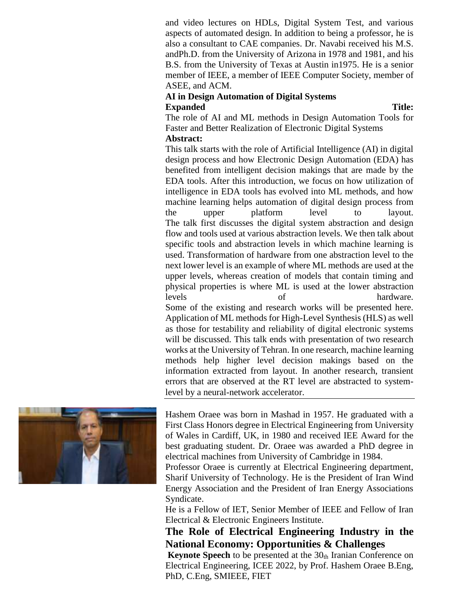and video lectures on HDLs, Digital System Test, and various aspects of automated design. In addition to being a professor, he is also a consultant to CAE companies. Dr. Navabi received his M.S. andPh.D. from the University of Arizona in 1978 and 1981, and his B.S. from the University of Texas at Austin in1975. He is a senior member of IEEE, a member of IEEE Computer Society, member of ASEE, and ACM.

# **AI in Design Automation of Digital Systems Expanded Title:**

The role of AI and ML methods in Design Automation Tools for Faster and Better Realization of Electronic Digital Systems **Abstract:**

This talk starts with the role of Artificial Intelligence (AI) in digital design process and how Electronic Design Automation (EDA) has benefited from intelligent decision makings that are made by the EDA tools. After this introduction, we focus on how utilization of intelligence in EDA tools has evolved into ML methods, and how machine learning helps automation of digital design process from the upper platform level to layout. The talk first discusses the digital system abstraction and design flow and tools used at various abstraction levels. We then talk about specific tools and abstraction levels in which machine learning is used. Transformation of hardware from one abstraction level to the next lower level is an example of where ML methods are used at the upper levels, whereas creation of models that contain timing and physical properties is where ML is used at the lower abstraction levels of hardware. Some of the existing and research works will be presented here. Application of ML methods for High-Level Synthesis (HLS) as well as those for testability and reliability of digital electronic systems will be discussed. This talk ends with presentation of two research works at the University of Tehran. In one research, machine learning methods help higher level decision makings based on the information extracted from layout. In another research, transient errors that are observed at the RT level are abstracted to systemlevel by a neural-network accelerator.



Hashem Oraee was born in Mashad in 1957. He graduated with a First Class Honors degree in Electrical Engineering from University of Wales in Cardiff, UK, in 1980 and received IEE Award for the best graduating student. Dr. Oraee was awarded a PhD degree in electrical machines from University of Cambridge in 1984.

Professor Oraee is currently at Electrical Engineering department, Sharif University of Technology. He is the President of Iran Wind Energy Association and the President of Iran Energy Associations Syndicate.

He is a Fellow of IET, Senior Member of IEEE and Fellow of Iran Electrical & Electronic Engineers Institute.

# **The Role of Electrical Engineering Industry in the National Economy: Opportunities & Challenges**

**Keynote Speech** to be presented at the  $30<sub>th</sub>$  Iranian Conference on Electrical Engineering, ICEE 2022, by Prof. Hashem Oraee B.Eng, PhD, C.Eng, SMIEEE, FIET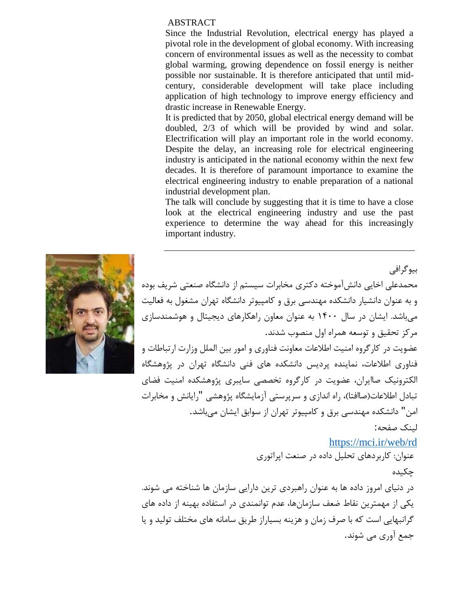#### ABSTRACT

Since the Industrial Revolution, electrical energy has played a pivotal role in the development of global economy. With increasing concern of environmental issues as well as the necessity to combat global warming, growing dependence on fossil energy is neither possible nor sustainable. It is therefore anticipated that until midcentury, considerable development will take place including application of high technology to improve energy efficiency and drastic increase in Renewable Energy.

It is predicted that by 2050, global electrical energy demand will be doubled, 2/3 of which will be provided by wind and solar. Electrification will play an important role in the world economy. Despite the delay, an increasing role for electrical engineering industry is anticipated in the national economy within the next few decades. It is therefore of paramount importance to examine the electrical engineering industry to enable preparation of a national industrial development plan.

The talk will conclude by suggesting that it is time to have a close look at the electrical engineering industry and use the past experience to determine the way ahead for this increasingly important industry.



لینک صفحه:

# <https://mci.ir/web/rd>

عنوان: کاربردهای تحلیل داده در صنعت اپراتوری

چکیده

در دنیای امروز داده ها به عنوان راهبردی ترین دارایی سازمان ها شناخته می شوند. یکی از مهمترین نقاط ضعف سازمانها، عدم توانمندی در استفاده بهینه از داده های گرانبهایی است که با صرف زمان و هزینه بسیاراز طریق سامانه های مختلف تولید و یا جمع آوری می شوند.